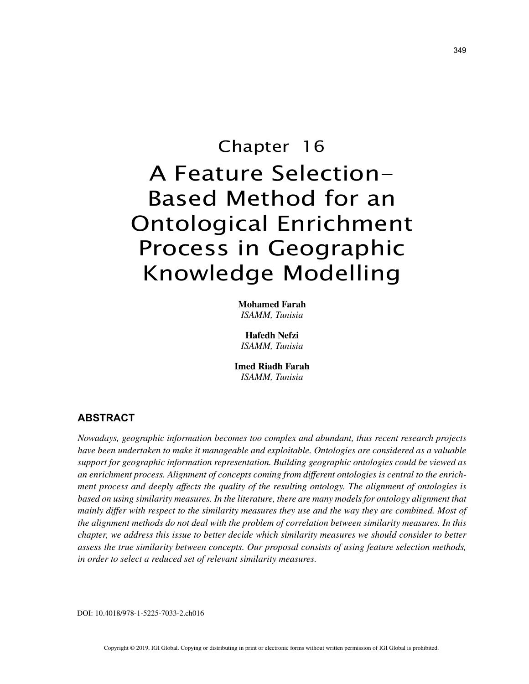# Chapter 16 A Feature Selection-Based Method for an Ontological Enrichment Process in Geographic Knowledge Modelling

**Mohamed Farah** *ISAMM, Tunisia*

**Hafedh Nefzi** *ISAMM, Tunisia*

**Imed Riadh Farah** *ISAMM, Tunisia*

## **ABSTRACT**

*Nowadays, geographic information becomes too complex and abundant, thus recent research projects have been undertaken to make it manageable and exploitable. Ontologies are considered as a valuable support for geographic information representation. Building geographic ontologies could be viewed as an enrichment process. Alignment of concepts coming from different ontologies is central to the enrichment process and deeply affects the quality of the resulting ontology. The alignment of ontologies is based on using similarity measures. In the literature, there are many models for ontology alignment that mainly differ with respect to the similarity measures they use and the way they are combined. Most of the alignment methods do not deal with the problem of correlation between similarity measures. In this chapter, we address this issue to better decide which similarity measures we should consider to better assess the true similarity between concepts. Our proposal consists of using feature selection methods, in order to select a reduced set of relevant similarity measures.*

DOI: 10.4018/978-1-5225-7033-2.ch016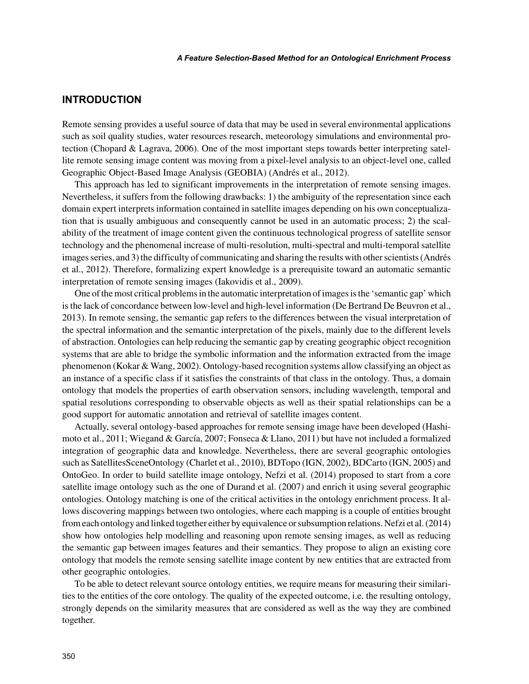# **INTRODUCTION**

Remote sensing provides a useful source of data that may be used in several environmental applications such as soil quality studies, water resources research, meteorology simulations and environmental protection (Chopard & Lagrava, 2006). One of the most important steps towards better interpreting satellite remote sensing image content was moving from a pixel-level analysis to an object-level one, called Geographic Object-Based Image Analysis (GEOBIA) (Andrés et al., 2012).

This approach has led to significant improvements in the interpretation of remote sensing images. Nevertheless, it suffers from the following drawbacks: 1) the ambiguity of the representation since each domain expert interprets information contained in satellite images depending on his own conceptualization that is usually ambiguous and consequently cannot be used in an automatic process; 2) the scalability of the treatment of image content given the continuous technological progress of satellite sensor technology and the phenomenal increase of multi-resolution, multi-spectral and multi-temporal satellite images series, and 3) the difficulty of communicating and sharing the results with other scientists (Andrés et al., 2012). Therefore, formalizing expert knowledge is a prerequisite toward an automatic semantic interpretation of remote sensing images (Iakovidis et al., 2009).

One of the most critical problems in the automatic interpretation of images is the 'semantic gap' which is the lack of concordance between low-level and high-level information (De Bertrand De Beuvron et al., 2013). In remote sensing, the semantic gap refers to the differences between the visual interpretation of the spectral information and the semantic interpretation of the pixels, mainly due to the different levels of abstraction. Ontologies can help reducing the semantic gap by creating geographic object recognition systems that are able to bridge the symbolic information and the information extracted from the image phenomenon (Kokar & Wang, 2002). Ontology-based recognition systems allow classifying an object as an instance of a specific class if it satisfies the constraints of that class in the ontology. Thus, a domain ontology that models the properties of earth observation sensors, including wavelength, temporal and spatial resolutions corresponding to observable objects as well as their spatial relationships can be a good support for automatic annotation and retrieval of satellite images content.

Actually, several ontology-based approaches for remote sensing image have been developed (Hashimoto et al., 2011; Wiegand & García, 2007; Fonseca & Llano, 2011) but have not included a formalized integration of geographic data and knowledge. Nevertheless, there are several geographic ontologies such as SatellitesSceneOntology (Charlet et al., 2010), BDTopo (IGN, 2002), BDCarto (IGN, 2005) and OntoGeo. In order to build satellite image ontology, Nefzi et al. (2014) proposed to start from a core satellite image ontology such as the one of Durand et al. (2007) and enrich it using several geographic ontologies. Ontology matching is one of the critical activities in the ontology enrichment process. It allows discovering mappings between two ontologies, where each mapping is a couple of entities brought from each ontology and linked together either by equivalence or subsumption relations. Nefzi et al. (2014) show how ontologies help modelling and reasoning upon remote sensing images, as well as reducing the semantic gap between images features and their semantics. They propose to align an existing core ontology that models the remote sensing satellite image content by new entities that are extracted from other geographic ontologies.

To be able to detect relevant source ontology entities, we require means for measuring their similarities to the entities of the core ontology. The quality of the expected outcome, i.e. the resulting ontology, strongly depends on the similarity measures that are considered as well as the way they are combined together.